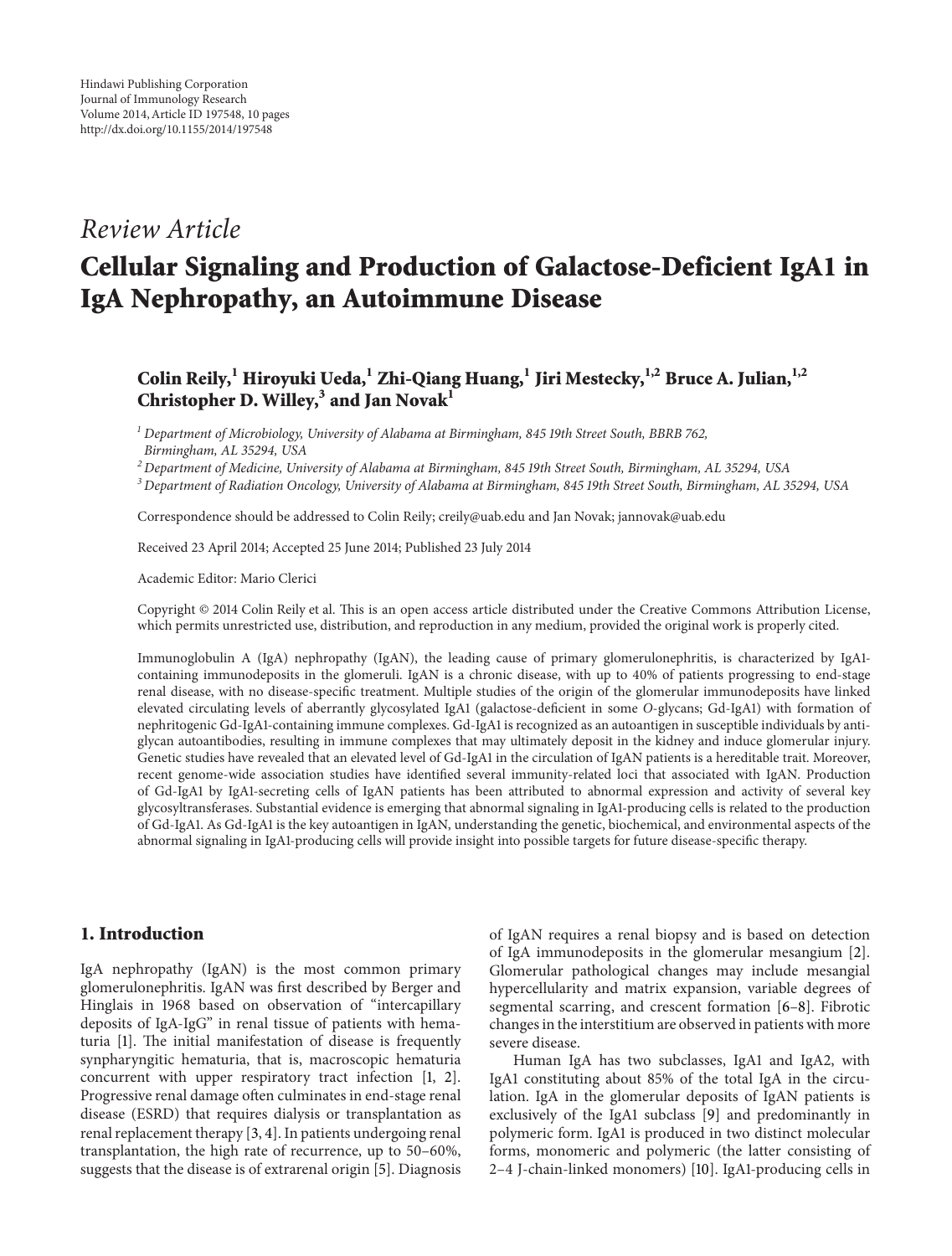# *Review Article*

# **Cellular Signaling and Production of Galactose-Deficient IgA1 in IgA Nephropathy, an Autoimmune Disease**

## **Colin Reily,<sup>1</sup> Hiroyuki Ueda,<sup>1</sup> Zhi-Qiang Huang,1 Jiri Mestecky,1,2 Bruce A. Julian,1,2 Christopher D. Willey,3 and Jan Novak1**

*<sup>1</sup> Department of Microbiology, University of Alabama at Birmingham, 845 19th Street South, BBRB 762, Birmingham, AL 35294, USA*

*<sup>2</sup> Department of Medicine, University of Alabama at Birmingham, 845 19th Street South, Birmingham, AL 35294, USA*

*<sup>3</sup> Department of Radiation Oncology, University of Alabama at Birmingham, 845 19th Street South, Birmingham, AL 35294, USA*

Correspondence should be addressed to Colin Reily; creily@uab.edu and Jan Novak; jannovak@uab.edu

Received 23 April 2014; Accepted 25 June 2014; Published 23 July 2014

Academic Editor: Mario Clerici

Copyright © 2014 Colin Reily et al. This is an open access article distributed under the Creative Commons Attribution License, which permits unrestricted use, distribution, and reproduction in any medium, provided the original work is properly cited.

Immunoglobulin A (IgA) nephropathy (IgAN), the leading cause of primary glomerulonephritis, is characterized by IgA1 containing immunodeposits in the glomeruli. IgAN is a chronic disease, with up to 40% of patients progressing to end-stage renal disease, with no disease-specific treatment. Multiple studies of the origin of the glomerular immunodeposits have linked elevated circulating levels of aberrantly glycosylated IgA1 (galactose-deficient in some *O*-glycans; Gd-IgA1) with formation of nephritogenic Gd-IgA1-containing immune complexes. Gd-IgA1 is recognized as an autoantigen in susceptible individuals by antiglycan autoantibodies, resulting in immune complexes that may ultimately deposit in the kidney and induce glomerular injury. Genetic studies have revealed that an elevated level of Gd-IgA1 in the circulation of IgAN patients is a hereditable trait. Moreover, recent genome-wide association studies have identified several immunity-related loci that associated with IgAN. Production of Gd-IgA1 by IgA1-secreting cells of IgAN patients has been attributed to abnormal expression and activity of several key glycosyltransferases. Substantial evidence is emerging that abnormal signaling in IgA1-producing cells is related to the production of Gd-IgA1. As Gd-IgA1 is the key autoantigen in IgAN, understanding the genetic, biochemical, and environmental aspects of the abnormal signaling in IgA1-producing cells will provide insight into possible targets for future disease-specific therapy.

### **1. Introduction**

IgA nephropathy (IgAN) is the most common primary glomerulonephritis. IgAN was first described by Berger and Hinglais in 1968 based on observation of "intercapillary deposits of IgA-IgG" in renal tissue of patients with hematuria [1]. The initial manifestation of disease is frequently synpharyngitic hematuria, that is, macroscopic hematuria concurrent with upper respiratory tract infection [1, 2]. Progressive renal damage often culminates in end-stage renal disease (ESRD) that requires dialysis or transplantation as renal replacement therapy [3, 4]. In patients undergoing renal transplantation, the high rate of recurrence, up to 50–60%, suggests that the disease is of extrarenal origin [5]. Diagnosis

of IgAN requires a renal biopsy and is based on detection of IgA immunodeposits in the glomerular mesangium [2]. Glomerular pathological changes may include mesangial hypercellularity and matrix expansion, variable degrees of segmental scarring, and crescent formation [6–8]. Fibrotic changes in the interstitium are observed in patients with more severe disease.

Human IgA has two subclasses, IgA1 and IgA2, with IgA1 constituting about 85% of the total IgA in the circulation. IgA in the glomerular deposits of IgAN patients is exclusively of the IgA1 subclass [9] and predominantly in polymeric form. IgA1 is produced in two distinct molecular forms, monomeric and polymeric (the latter consisting of 2–4 J-chain-linked monomers) [10]. IgA1-producing cells in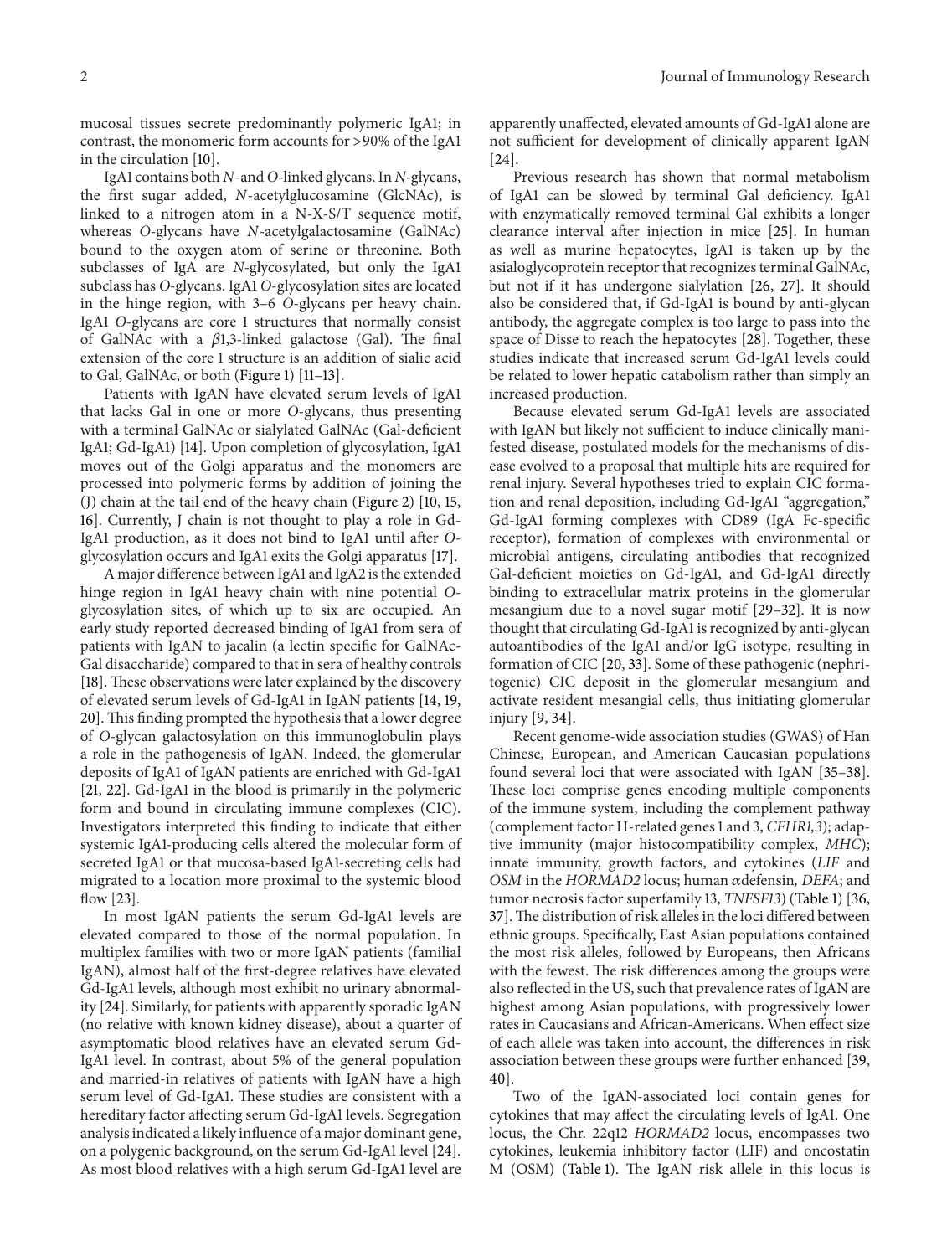mucosal tissues secrete predominantly polymeric IgA1; in contrast, the monomeric form accounts for >90% of the IgA1 in the circulation [10].

IgA1 contains both *N*-and *O-*linked glycans. In *N-*glycans, the first sugar added, *N*-acetylglucosamine (GlcNAc), is linked to a nitrogen atom in a N-X-S/T sequence motif, whereas *O-*glycans have *N*-acetylgalactosamine (GalNAc) bound to the oxygen atom of serine or threonine. Both subclasses of IgA are *N-*glycosylated, but only the IgA1 subclass has *O-*glycans. IgA1 *O*-glycosylation sites are located in the hinge region, with 3–6 *O*-glycans per heavy chain. IgA1 *O*-glycans are core 1 structures that normally consist of GalNAc with a  $\beta$ 1,3-linked galactose (Gal). The final extension of the core 1 structure is an addition of sialic acid to Gal, GalNAc, or both (Figure 1) [11–13].

Patients with IgAN have elevated serum levels of IgA1 that lacks Gal in one or more *O*-glycans, thus presenting with a terminal GalNAc or sialylated GalNAc (Gal-deficient IgA1; Gd-IgA1) [14]. Upon completion of glycosylation, IgA1 moves out of the Golgi apparatus and the monomers are processed into polymeric forms by addition of joining the (J) chain at the tail end of the heavy chain (Figure 2) [10, 15, 16]. Currently, J chain is not thought to play a role in Gd-IgA1 production, as it does not bind to IgA1 until after *O*glycosylation occurs and IgA1 exits the Golgi apparatus [17].

A major difference between IgA1 and IgA2 is the extended hinge region in IgA1 heavy chain with nine potential *O*glycosylation sites, of which up to six are occupied. An early study reported decreased binding of IgA1 from sera of patients with IgAN to jacalin (a lectin specific for GalNAc-Gal disaccharide) compared to that in sera of healthy controls [18]. These observations were later explained by the discovery of elevated serum levels of Gd-IgA1 in IgAN patients [14, 19, 20]. This finding prompted the hypothesis that a lower degree of *O*-glycan galactosylation on this immunoglobulin plays a role in the pathogenesis of IgAN. Indeed, the glomerular deposits of IgA1 of IgAN patients are enriched with Gd-IgA1 [21, 22]. Gd-IgA1 in the blood is primarily in the polymeric form and bound in circulating immune complexes (CIC). Investigators interpreted this finding to indicate that either systemic IgA1-producing cells altered the molecular form of secreted IgA1 or that mucosa-based IgA1-secreting cells had migrated to a location more proximal to the systemic blood flow [23].

In most IgAN patients the serum Gd-IgA1 levels are elevated compared to those of the normal population. In multiplex families with two or more IgAN patients (familial IgAN), almost half of the first-degree relatives have elevated Gd-IgA1 levels, although most exhibit no urinary abnormality [24]. Similarly, for patients with apparently sporadic IgAN (no relative with known kidney disease), about a quarter of asymptomatic blood relatives have an elevated serum Gd-IgA1 level. In contrast, about 5% of the general population and married-in relatives of patients with IgAN have a high serum level of Gd-IgA1. These studies are consistent with a hereditary factor affecting serum Gd-IgA1 levels. Segregation analysis indicated a likely influence of a major dominant gene, on a polygenic background, on the serum Gd-IgA1 level [24]. As most blood relatives with a high serum Gd-IgA1 level are

apparently unaffected, elevated amounts of Gd-IgA1 alone are not sufficient for development of clinically apparent IgAN [24].

Previous research has shown that normal metabolism of IgA1 can be slowed by terminal Gal deficiency. IgA1 with enzymatically removed terminal Gal exhibits a longer clearance interval after injection in mice [25]. In human as well as murine hepatocytes, IgA1 is taken up by the asialoglycoprotein receptor that recognizes terminal GalNAc, but not if it has undergone sialylation [26, 27]. It should also be considered that, if Gd-IgA1 is bound by anti-glycan antibody, the aggregate complex is too large to pass into the space of Disse to reach the hepatocytes [28]. Together, these studies indicate that increased serum Gd-IgA1 levels could be related to lower hepatic catabolism rather than simply an increased production.

Because elevated serum Gd-IgA1 levels are associated with IgAN but likely not sufficient to induce clinically manifested disease, postulated models for the mechanisms of disease evolved to a proposal that multiple hits are required for renal injury. Several hypotheses tried to explain CIC formation and renal deposition, including Gd-IgA1 "aggregation," Gd-IgA1 forming complexes with CD89 (IgA Fc-specific receptor), formation of complexes with environmental or microbial antigens, circulating antibodies that recognized Gal-deficient moieties on Gd-IgA1, and Gd-IgA1 directly binding to extracellular matrix proteins in the glomerular mesangium due to a novel sugar motif [29–32]. It is now thought that circulating Gd-IgA1 is recognized by anti-glycan autoantibodies of the IgA1 and/or IgG isotype, resulting in formation of CIC [20, 33]. Some of these pathogenic (nephritogenic) CIC deposit in the glomerular mesangium and activate resident mesangial cells, thus initiating glomerular injury [9, 34].

Recent genome-wide association studies (GWAS) of Han Chinese, European, and American Caucasian populations found several loci that were associated with IgAN [35–38]. These loci comprise genes encoding multiple components of the immune system, including the complement pathway (complement factor H-related genes 1 and 3, *CFHR1,3*); adaptive immunity (major histocompatibility complex, *MHC*); innate immunity, growth factors, and cytokines (*LIF* and *OSM* in the *HORMAD2* locus; human adefensin, *DEFA*; and tumor necrosis factor superfamily 13, *TNFSF13*) (Table 1) [36, 37].The distribution of risk alleles in the loci differed between ethnic groups. Specifically, East Asian populations contained the most risk alleles, followed by Europeans, then Africans with the fewest. The risk differences among the groups were also reflected in the US, such that prevalence rates of IgAN are highest among Asian populations, with progressively lower rates in Caucasians and African-Americans. When effect size of each allele was taken into account, the differences in risk association between these groups were further enhanced [39, 40].

Two of the IgAN-associated loci contain genes for cytokines that may affect the circulating levels of IgA1. One locus, the Chr. 22q12 *HORMAD2* locus, encompasses two cytokines, leukemia inhibitory factor (LIF) and oncostatin M (OSM) (Table 1). The IgAN risk allele in this locus is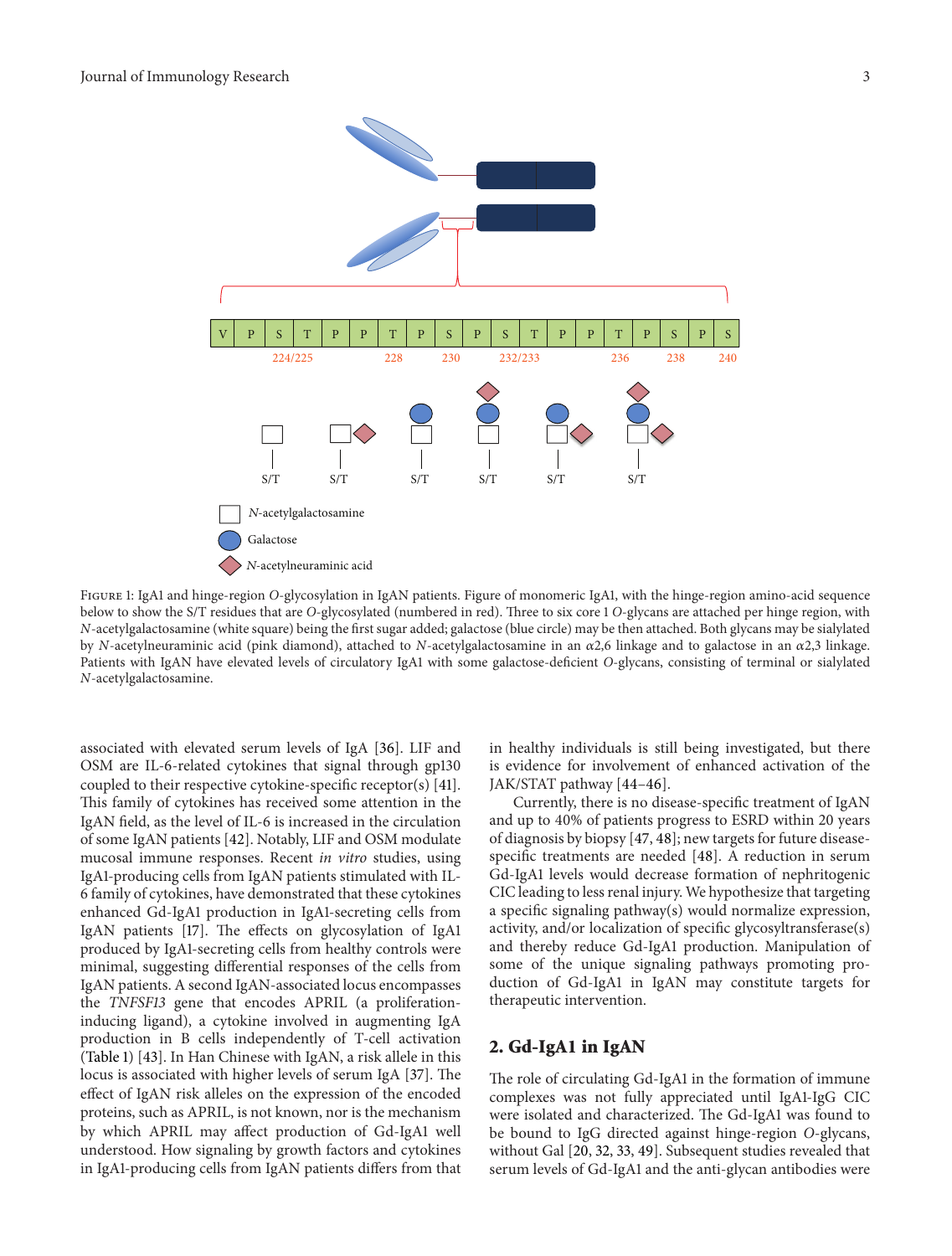

Figure 1: IgA1 and hinge-region *O*-glycosylation in IgAN patients. Figure of monomeric IgA1, with the hinge-region amino-acid sequence below to show the S/T residues that are *O*-glycosylated (numbered in red). Three to six core 1 *O*-glycans are attached per hinge region, with *N*-acetylgalactosamine (white square) being the first sugar added; galactose (blue circle) may be then attached. Both glycans may be sialylated by *N*-acetylneuraminic acid (pink diamond), attached to *N*-acetylgalactosamine in an 2,6 linkage and to galactose in an 2,3 linkage. Patients with IgAN have elevated levels of circulatory IgA1 with some galactose-deficient *O*-glycans, consisting of terminal or sialylated *N*-acetylgalactosamine.

associated with elevated serum levels of IgA [36]. LIF and OSM are IL-6-related cytokines that signal through gp130 coupled to their respective cytokine-specific receptor(s) [41]. This family of cytokines has received some attention in the IgAN field, as the level of IL-6 is increased in the circulation of some IgAN patients [42]. Notably, LIF and OSM modulate mucosal immune responses. Recent *in vitro* studies, using IgA1-producing cells from IgAN patients stimulated with IL-6 family of cytokines, have demonstrated that these cytokines enhanced Gd-IgA1 production in IgA1-secreting cells from IgAN patients [17]. The effects on glycosylation of IgA1 produced by IgA1-secreting cells from healthy controls were minimal, suggesting differential responses of the cells from IgAN patients. A second IgAN-associated locus encompasses the *TNFSF13* gene that encodes APRIL (a proliferationinducing ligand), a cytokine involved in augmenting IgA production in B cells independently of T-cell activation (Table 1) [43]. In Han Chinese with IgAN, a risk allele in this locus is associated with higher levels of serum IgA [37]. The effect of IgAN risk alleles on the expression of the encoded proteins, such as APRIL, is not known, nor is the mechanism by which APRIL may affect production of Gd-IgA1 well understood. How signaling by growth factors and cytokines in IgA1-producing cells from IgAN patients differs from that

in healthy individuals is still being investigated, but there is evidence for involvement of enhanced activation of the JAK/STAT pathway [44–46].

Currently, there is no disease-specific treatment of IgAN and up to 40% of patients progress to ESRD within 20 years of diagnosis by biopsy [47, 48]; new targets for future diseasespecific treatments are needed [48]. A reduction in serum Gd-IgA1 levels would decrease formation of nephritogenic CIC leading to less renal injury. We hypothesize that targeting a specific signaling pathway(s) would normalize expression, activity, and/or localization of specific glycosyltransferase(s) and thereby reduce Gd-IgA1 production. Manipulation of some of the unique signaling pathways promoting production of Gd-IgA1 in IgAN may constitute targets for therapeutic intervention.

## **2. Gd-IgA1 in IgAN**

The role of circulating Gd-IgA1 in the formation of immune complexes was not fully appreciated until IgA1-IgG CIC were isolated and characterized. The Gd-IgA1 was found to be bound to IgG directed against hinge-region *O*-glycans, without Gal [20, 32, 33, 49]. Subsequent studies revealed that serum levels of Gd-IgA1 and the anti-glycan antibodies were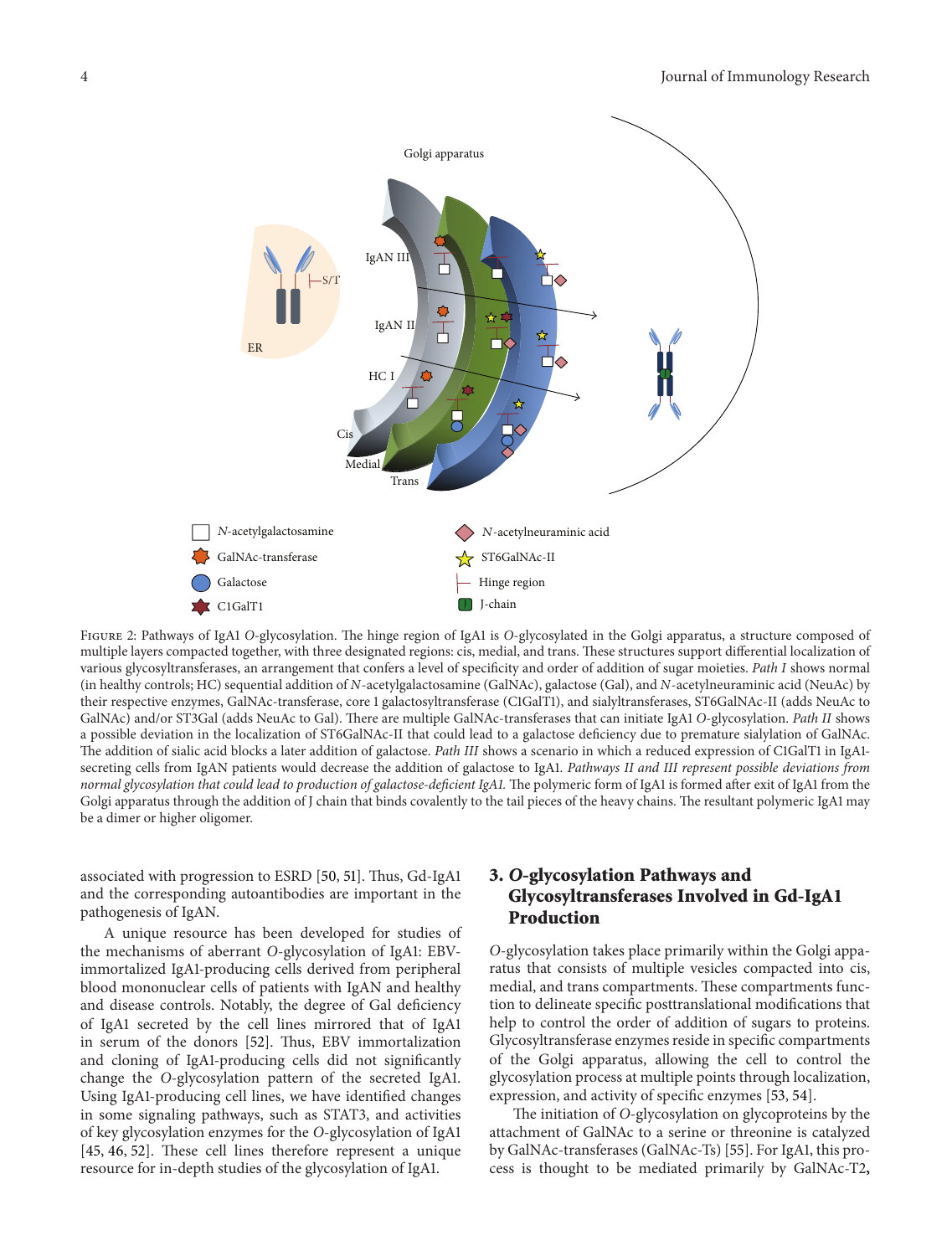

Figure 2: Pathways of IgA1 *O*-glycosylation. The hinge region of IgA1 is *O*-glycosylated in the Golgi apparatus, a structure composed of multiple layers compacted together, with three designated regions: cis, medial, and trans. These structures support differential localization of various glycosyltransferases, an arrangement that confers a level of specificity and order of addition of sugar moieties. *Path I* shows normal (in healthy controls; HC) sequential addition of *N*-acetylgalactosamine (GalNAc), galactose (Gal), and *N*-acetylneuraminic acid (NeuAc) by their respective enzymes, GalNAc-transferase, core 1 galactosyltransferase (C1GalT1), and sialyltransferases, ST6GalNAc-II (adds NeuAc to GalNAc) and/or ST3Gal (adds NeuAc to Gal). There are multiple GalNAc-transferases that can initiate IgA1 *O*-glycosylation. *Path II* shows a possible deviation in the localization of ST6GalNAc-II that could lead to a galactose deficiency due to premature sialylation of GalNAc. The addition of sialic acid blocks a later addition of galactose. *Path III* shows a scenario in which a reduced expression of C1GalT1 in IgA1 secreting cells from IgAN patients would decrease the addition of galactose to IgA1. *Pathways II and III represent possible deviations from normal glycosylation that could lead to production of galactose-deficient IgA1.* The polymeric form of IgA1 is formed after exit of IgA1 from the Golgi apparatus through the addition of J chain that binds covalently to the tail pieces of the heavy chains. The resultant polymeric IgA1 may be a dimer or higher oligomer.

associated with progression to ESRD [50, 51]. Thus, Gd-IgA1 and the corresponding autoantibodies are important in the pathogenesis of IgAN.

A unique resource has been developed for studies of the mechanisms of aberrant *O*-glycosylation of IgA1: EBVimmortalized IgA1-producing cells derived from peripheral blood mononuclear cells of patients with IgAN and healthy and disease controls. Notably, the degree of Gal deficiency of IgA1 secreted by the cell lines mirrored that of IgA1 in serum of the donors [52]. Thus, EBV immortalization and cloning of IgA1-producing cells did not significantly change the *O*-glycosylation pattern of the secreted IgA1. Using IgA1-producing cell lines, we have identified changes in some signaling pathways, such as STAT3, and activities of key glycosylation enzymes for the *O*-glycosylation of IgA1 [45, 46, 52]. These cell lines therefore represent a unique resource for in-depth studies of the glycosylation of IgA1.

## **3.** *O***-glycosylation Pathways and Glycosyltransferases Involved in Gd-IgA1 Production**

*O*-glycosylation takes place primarily within the Golgi apparatus that consists of multiple vesicles compacted into cis, medial, and trans compartments. These compartments function to delineate specific posttranslational modifications that help to control the order of addition of sugars to proteins. Glycosyltransferase enzymes reside in specific compartments of the Golgi apparatus, allowing the cell to control the glycosylation process at multiple points through localization, expression, and activity of specific enzymes [53, 54].

The initiation of *O*-glycosylation on glycoproteins by the attachment of GalNAc to a serine or threonine is catalyzed by GalNAc-transferases (GalNAc-Ts) [55]. For IgA1, this process is thought to be mediated primarily by GalNAc-T2**,**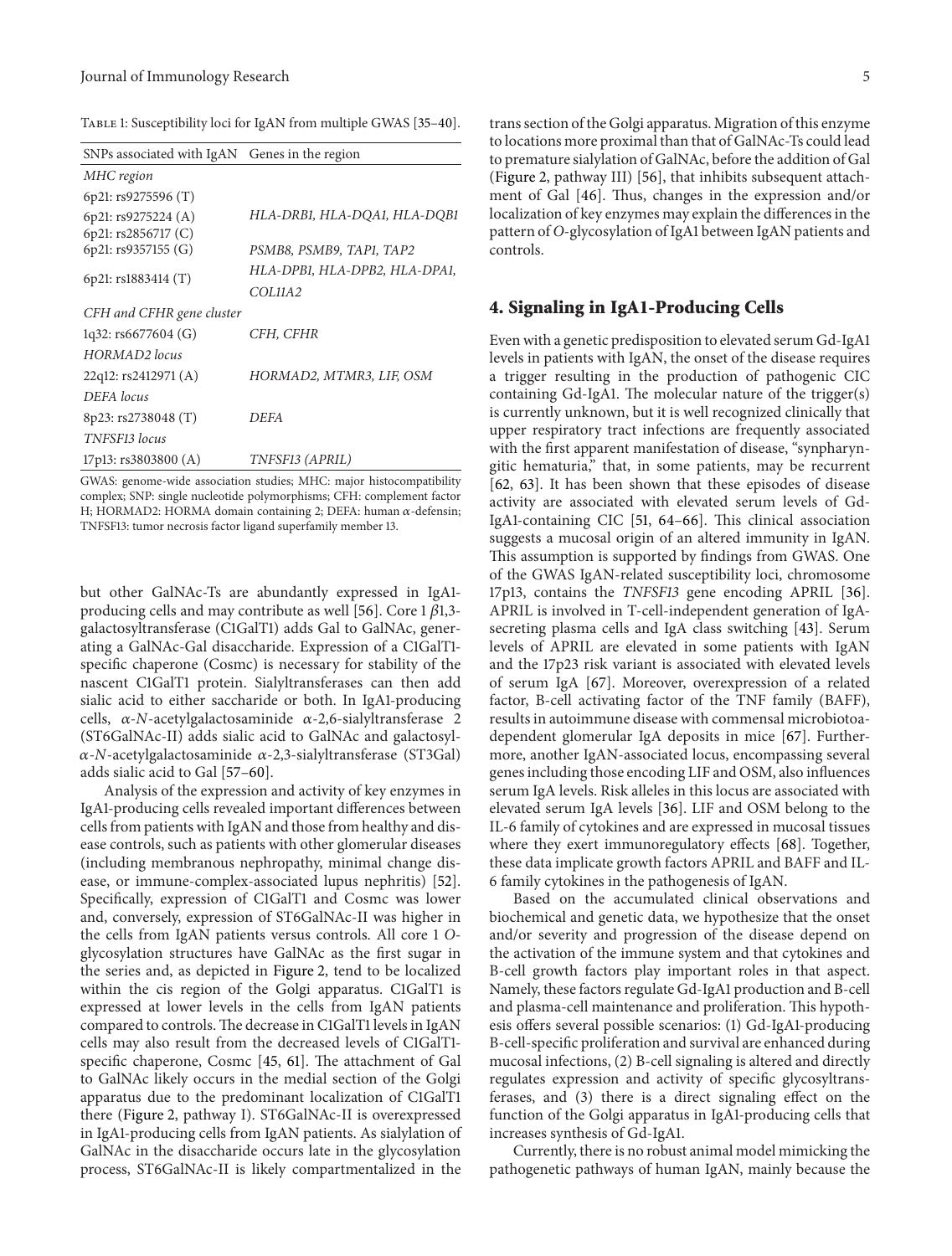| SNPs associated with IgAN Genes in the region |
|-----------------------------------------------|
|                                               |
|                                               |
| HLA-DRB1, HLA-DQA1, HLA-DQB1                  |
|                                               |
| PSMB8, PSMB9, TAP1, TAP2                      |
| HLA-DPB1, HLA-DPB2, HLA-DPA1,                 |
| COL11A2                                       |
| CFH and CFHR gene cluster                     |
| CFH, CFHR                                     |
|                                               |
| HORMAD2, MTMR3, LIF, OSM                      |
|                                               |
| <b>DEFA</b>                                   |
|                                               |
| TNFSF13 (APRIL)                               |
|                                               |

GWAS: genome-wide association studies; MHC: major histocompatibility complex; SNP: single nucleotide polymorphisms; CFH: complement factor H; HORMAD2: HORMA domain containing 2; DEFA: human  $\alpha$ -defensin; TNFSF13: tumor necrosis factor ligand superfamily member 13.

but other GalNAc-Ts are abundantly expressed in IgA1 producing cells and may contribute as well [56]. Core 1  $\beta$ 1,3galactosyltransferase (C1GalT1) adds Gal to GalNAc, generating a GalNAc-Gal disaccharide. Expression of a C1GalT1 specific chaperone (Cosmc) is necessary for stability of the nascent C1GalT1 protein. Sialyltransferases can then add sialic acid to either saccharide or both. In IgA1-producing cells,  $\alpha$ -*N*-acetylgalactosaminide  $\alpha$ -2,6-sialyltransferase 2 (ST6GalNAc-II) adds sialic acid to GalNAc and galactosyl-  $\alpha$ -*N*-acetylgalactosaminide  $\alpha$ -2,3-sialyltransferase (ST3Gal) adds sialic acid to Gal [57–60].

Analysis of the expression and activity of key enzymes in IgA1-producing cells revealed important differences between cells from patients with IgAN and those from healthy and disease controls, such as patients with other glomerular diseases (including membranous nephropathy, minimal change disease, or immune-complex-associated lupus nephritis) [52]. Specifically, expression of C1GalT1 and Cosmc was lower and, conversely, expression of ST6GalNAc-II was higher in the cells from IgAN patients versus controls. All core 1 *O*glycosylation structures have GalNAc as the first sugar in the series and, as depicted in Figure 2, tend to be localized within the cis region of the Golgi apparatus. C1GalT1 is expressed at lower levels in the cells from IgAN patients compared to controls.The decrease in C1GalT1 levels in IgAN cells may also result from the decreased levels of C1GalT1 specific chaperone, Cosmc [45, 61]. The attachment of Gal to GalNAc likely occurs in the medial section of the Golgi apparatus due to the predominant localization of C1GalT1 there (Figure 2, pathway I). ST6GalNAc-II is overexpressed in IgA1-producing cells from IgAN patients. As sialylation of GalNAc in the disaccharide occurs late in the glycosylation process, ST6GalNAc-II is likely compartmentalized in the

trans section of the Golgi apparatus. Migration of this enzyme to locations more proximal than that of GalNAc-Ts could lead to premature sialylation of GalNAc, before the addition of Gal (Figure 2, pathway III) [56], that inhibits subsequent attachment of Gal [46]. Thus, changes in the expression and/or localization of key enzymes may explain the differences in the pattern of *O*-glycosylation of IgA1 between IgAN patients and controls.

#### **4. Signaling in IgA1-Producing Cells**

Even with a genetic predisposition to elevated serum Gd-IgA1 levels in patients with IgAN, the onset of the disease requires a trigger resulting in the production of pathogenic CIC containing Gd-IgA1. The molecular nature of the trigger(s) is currently unknown, but it is well recognized clinically that upper respiratory tract infections are frequently associated with the first apparent manifestation of disease, "synpharyngitic hematuria," that, in some patients, may be recurrent [62, 63]. It has been shown that these episodes of disease activity are associated with elevated serum levels of Gd-IgA1-containing CIC [51, 64–66]. This clinical association suggests a mucosal origin of an altered immunity in IgAN. This assumption is supported by findings from GWAS. One of the GWAS IgAN-related susceptibility loci, chromosome 17p13, contains the *TNFSF13* gene encoding APRIL [36]. APRIL is involved in T-cell-independent generation of IgAsecreting plasma cells and IgA class switching [43]. Serum levels of APRIL are elevated in some patients with IgAN and the 17p23 risk variant is associated with elevated levels of serum IgA [67]. Moreover, overexpression of a related factor, B-cell activating factor of the TNF family (BAFF), results in autoimmune disease with commensal microbiotoadependent glomerular IgA deposits in mice [67]. Furthermore, another IgAN-associated locus, encompassing several genes including those encoding LIF and OSM, also influences serum IgA levels. Risk alleles in this locus are associated with elevated serum IgA levels [36]. LIF and OSM belong to the IL-6 family of cytokines and are expressed in mucosal tissues where they exert immunoregulatory effects [68]. Together, these data implicate growth factors APRIL and BAFF and IL-6 family cytokines in the pathogenesis of IgAN.

Based on the accumulated clinical observations and biochemical and genetic data, we hypothesize that the onset and/or severity and progression of the disease depend on the activation of the immune system and that cytokines and B-cell growth factors play important roles in that aspect. Namely, these factors regulate Gd-IgA1 production and B-cell and plasma-cell maintenance and proliferation. This hypothesis offers several possible scenarios: (1) Gd-IgA1-producing B-cell-specific proliferation and survival are enhanced during mucosal infections, (2) B-cell signaling is altered and directly regulates expression and activity of specific glycosyltransferases, and (3) there is a direct signaling effect on the function of the Golgi apparatus in IgA1-producing cells that increases synthesis of Gd-IgA1.

Currently, there is no robust animal model mimicking the pathogenetic pathways of human IgAN, mainly because the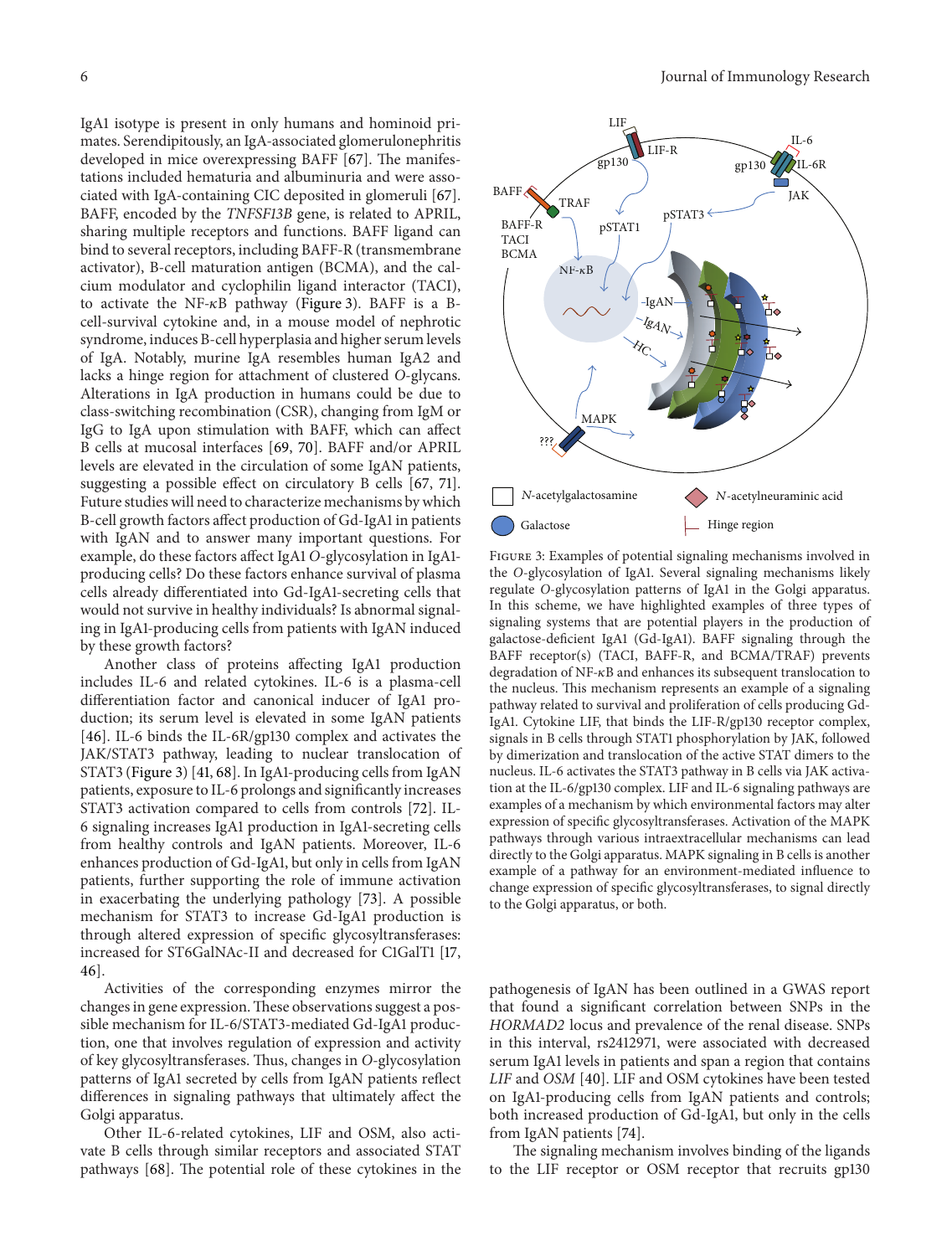IgA1 isotype is present in only humans and hominoid primates. Serendipitously, an IgA-associated glomerulonephritis developed in mice overexpressing BAFF [67]. The manifestations included hematuria and albuminuria and were associated with IgA-containing CIC deposited in glomeruli [67]. BAFF, encoded by the *TNFSF13B* gene, is related to APRIL, sharing multiple receptors and functions. BAFF ligand can bind to several receptors, including BAFF-R (transmembrane activator), B-cell maturation antigen (BCMA), and the calcium modulator and cyclophilin ligand interactor (TACI), to activate the NF- $\kappa$ B pathway (Figure 3). BAFF is a Bcell-survival cytokine and, in a mouse model of nephrotic syndrome, induces B-cell hyperplasia and higher serum levels of IgA. Notably, murine IgA resembles human IgA2 and lacks a hinge region for attachment of clustered *O*-glycans. Alterations in IgA production in humans could be due to class-switching recombination (CSR), changing from IgM or IgG to IgA upon stimulation with BAFF, which can affect B cells at mucosal interfaces [69, 70]. BAFF and/or APRIL levels are elevated in the circulation of some IgAN patients, suggesting a possible effect on circulatory B cells [67, 71]. Future studies will need to characterize mechanisms by which B-cell growth factors affect production of Gd-IgA1 in patients with IgAN and to answer many important questions. For example, do these factors affect IgA1 *O*-glycosylation in IgA1 producing cells? Do these factors enhance survival of plasma cells already differentiated into Gd-IgA1-secreting cells that would not survive in healthy individuals? Is abnormal signaling in IgA1-producing cells from patients with IgAN induced by these growth factors?

Another class of proteins affecting IgA1 production includes IL-6 and related cytokines. IL-6 is a plasma-cell differentiation factor and canonical inducer of IgA1 production; its serum level is elevated in some IgAN patients [46]. IL-6 binds the IL-6R/gp130 complex and activates the JAK/STAT3 pathway, leading to nuclear translocation of STAT3 (Figure 3) [41, 68]. In IgA1-producing cells from IgAN patients, exposure to IL-6 prolongs and significantly increases STAT3 activation compared to cells from controls [72]. IL-6 signaling increases IgA1 production in IgA1-secreting cells from healthy controls and IgAN patients. Moreover, IL-6 enhances production of Gd-IgA1, but only in cells from IgAN patients, further supporting the role of immune activation in exacerbating the underlying pathology [73]. A possible mechanism for STAT3 to increase Gd-IgA1 production is through altered expression of specific glycosyltransferases: increased for ST6GalNAc-II and decreased for C1GalT1 [17, 46].

Activities of the corresponding enzymes mirror the changes in gene expression.These observations suggest a possible mechanism for IL-6/STAT3-mediated Gd-IgA1 production, one that involves regulation of expression and activity of key glycosyltransferases. Thus, changes in *O*-glycosylation patterns of IgA1 secreted by cells from IgAN patients reflect differences in signaling pathways that ultimately affect the Golgi apparatus.

Other IL-6-related cytokines, LIF and OSM, also activate B cells through similar receptors and associated STAT pathways [68]. The potential role of these cytokines in the



Figure 3: Examples of potential signaling mechanisms involved in the *O*-glycosylation of IgA1. Several signaling mechanisms likely regulate *O*-glycosylation patterns of IgA1 in the Golgi apparatus. In this scheme, we have highlighted examples of three types of signaling systems that are potential players in the production of galactose-deficient IgA1 (Gd-IgA1). BAFF signaling through the BAFF receptor(s) (TACI, BAFF-R, and BCMA/TRAF) prevents degradation of  $NF-\kappa B$  and enhances its subsequent translocation to the nucleus. This mechanism represents an example of a signaling pathway related to survival and proliferation of cells producing Gd-IgA1. Cytokine LIF, that binds the LIF-R/gp130 receptor complex, signals in B cells through STAT1 phosphorylation by JAK, followed by dimerization and translocation of the active STAT dimers to the nucleus. IL-6 activates the STAT3 pathway in B cells via JAK activation at the IL-6/gp130 complex. LIF and IL-6 signaling pathways are examples of a mechanism by which environmental factors may alter expression of specific glycosyltransferases. Activation of the MAPK pathways through various intraextracellular mechanisms can lead directly to the Golgi apparatus. MAPK signaling in B cells is another example of a pathway for an environment-mediated influence to change expression of specific glycosyltransferases, to signal directly to the Golgi apparatus, or both.

pathogenesis of IgAN has been outlined in a GWAS report that found a significant correlation between SNPs in the *HORMAD2* locus and prevalence of the renal disease. SNPs in this interval, rs2412971, were associated with decreased serum IgA1 levels in patients and span a region that contains *LIF* and *OSM* [40]. LIF and OSM cytokines have been tested on IgA1-producing cells from IgAN patients and controls; both increased production of Gd-IgA1, but only in the cells from IgAN patients [74].

The signaling mechanism involves binding of the ligands to the LIF receptor or OSM receptor that recruits gp130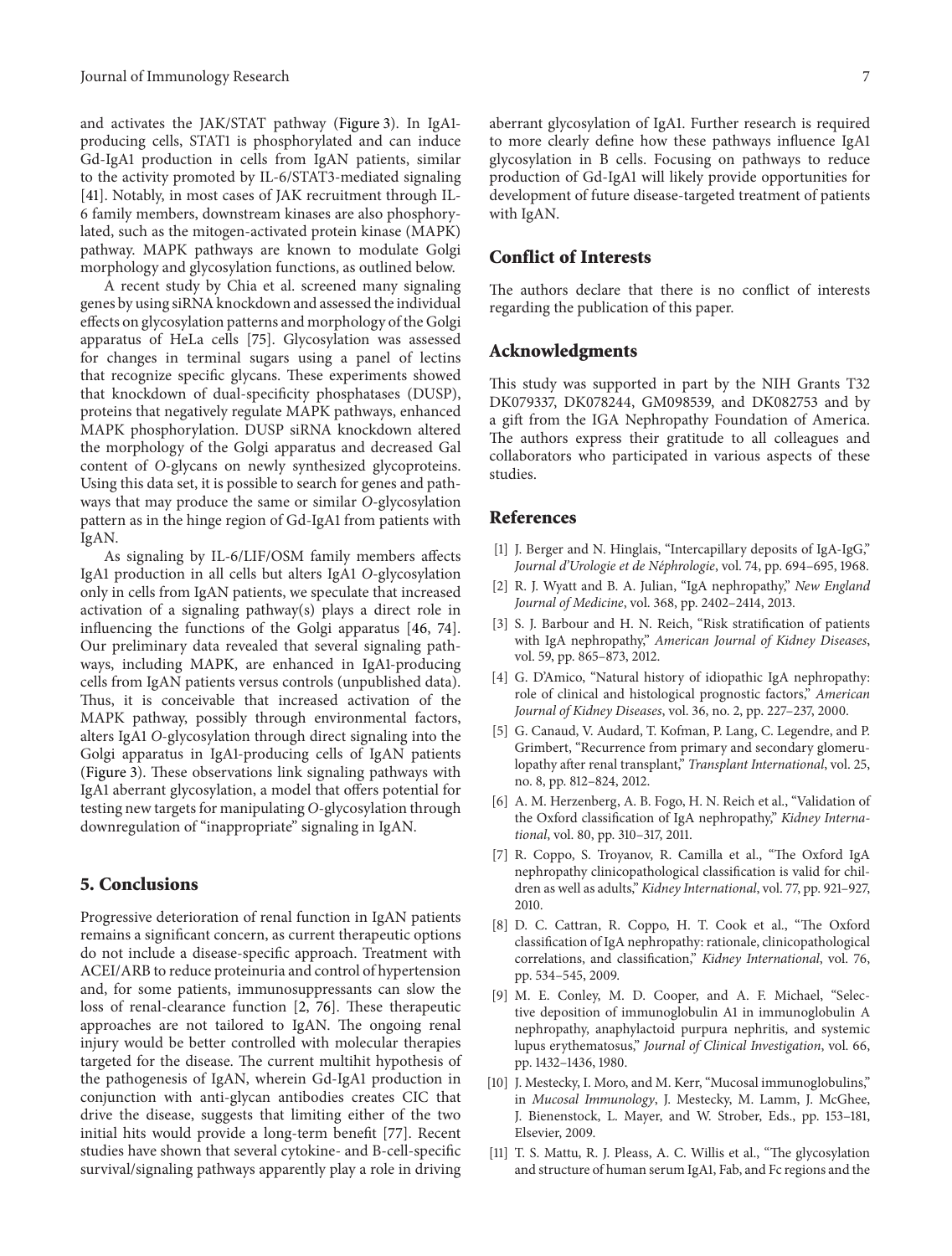and activates the JAK/STAT pathway (Figure 3). In IgA1 producing cells, STAT1 is phosphorylated and can induce Gd-IgA1 production in cells from IgAN patients, similar to the activity promoted by IL-6/STAT3-mediated signaling [41]. Notably, in most cases of JAK recruitment through IL-6 family members, downstream kinases are also phosphorylated, such as the mitogen-activated protein kinase (MAPK) pathway. MAPK pathways are known to modulate Golgi morphology and glycosylation functions, as outlined below.

A recent study by Chia et al. screened many signaling genes by using siRNA knockdown and assessed the individual effects on glycosylation patterns and morphology of the Golgi apparatus of HeLa cells [75]. Glycosylation was assessed for changes in terminal sugars using a panel of lectins that recognize specific glycans. These experiments showed that knockdown of dual-specificity phosphatases (DUSP), proteins that negatively regulate MAPK pathways, enhanced MAPK phosphorylation. DUSP siRNA knockdown altered the morphology of the Golgi apparatus and decreased Gal content of *O*-glycans on newly synthesized glycoproteins. Using this data set, it is possible to search for genes and pathways that may produce the same or similar *O*-glycosylation pattern as in the hinge region of Gd-IgA1 from patients with IgAN.

As signaling by IL-6/LIF/OSM family members affects IgA1 production in all cells but alters IgA1 *O*-glycosylation only in cells from IgAN patients, we speculate that increased activation of a signaling pathway(s) plays a direct role in influencing the functions of the Golgi apparatus [46, 74]. Our preliminary data revealed that several signaling pathways, including MAPK, are enhanced in IgA1-producing cells from IgAN patients versus controls (unpublished data). Thus, it is conceivable that increased activation of the MAPK pathway, possibly through environmental factors, alters IgA1 *O*-glycosylation through direct signaling into the Golgi apparatus in IgA1-producing cells of IgAN patients (Figure 3). These observations link signaling pathways with IgA1 aberrant glycosylation, a model that offers potential for testing new targets for manipulating *O*-glycosylation through downregulation of "inappropriate" signaling in IgAN.

## **5. Conclusions**

Progressive deterioration of renal function in IgAN patients remains a significant concern, as current therapeutic options do not include a disease-specific approach. Treatment with ACEI/ARB to reduce proteinuria and control of hypertension and, for some patients, immunosuppressants can slow the loss of renal-clearance function [2, 76]. These therapeutic approaches are not tailored to IgAN. The ongoing renal injury would be better controlled with molecular therapies targeted for the disease. The current multihit hypothesis of the pathogenesis of IgAN, wherein Gd-IgA1 production in conjunction with anti-glycan antibodies creates CIC that drive the disease, suggests that limiting either of the two initial hits would provide a long-term benefit [77]. Recent studies have shown that several cytokine- and B-cell-specific survival/signaling pathways apparently play a role in driving

aberrant glycosylation of IgA1. Further research is required to more clearly define how these pathways influence IgA1 glycosylation in B cells. Focusing on pathways to reduce production of Gd-IgA1 will likely provide opportunities for development of future disease-targeted treatment of patients with IgAN.

## **Conflict of Interests**

The authors declare that there is no conflict of interests regarding the publication of this paper.

#### **Acknowledgments**

This study was supported in part by the NIH Grants T32 DK079337, DK078244, GM098539, and DK082753 and by a gift from the IGA Nephropathy Foundation of America. The authors express their gratitude to all colleagues and collaborators who participated in various aspects of these studies.

#### **References**

- [1] J. Berger and N. Hinglais, "Intercapillary deposits of IgA-IgG," Journal d'Urologie et de Néphrologie, vol. 74, pp. 694-695, 1968.
- [2] R. J. Wyatt and B. A. Julian, "IgA nephropathy," *New England Journal of Medicine*, vol. 368, pp. 2402–2414, 2013.
- [3] S. J. Barbour and H. N. Reich, "Risk stratification of patients with IgA nephropathy," *American Journal of Kidney Diseases*, vol. 59, pp. 865–873, 2012.
- [4] G. D'Amico, "Natural history of idiopathic IgA nephropathy: role of clinical and histological prognostic factors," *American Journal of Kidney Diseases*, vol. 36, no. 2, pp. 227–237, 2000.
- [5] G. Canaud, V. Audard, T. Kofman, P. Lang, C. Legendre, and P. Grimbert, "Recurrence from primary and secondary glomerulopathy after renal transplant," *Transplant International*, vol. 25, no. 8, pp. 812–824, 2012.
- [6] A. M. Herzenberg, A. B. Fogo, H. N. Reich et al., "Validation of the Oxford classification of IgA nephropathy," *Kidney International*, vol. 80, pp. 310–317, 2011.
- [7] R. Coppo, S. Troyanov, R. Camilla et al., "The Oxford IgA nephropathy clinicopathological classification is valid for children as well as adults," *Kidney International*, vol. 77, pp. 921–927, 2010.
- [8] D. C. Cattran, R. Coppo, H. T. Cook et al., "The Oxford classification of IgA nephropathy: rationale, clinicopathological correlations, and classification," *Kidney International*, vol. 76, pp. 534–545, 2009.
- [9] M. E. Conley, M. D. Cooper, and A. F. Michael, "Selective deposition of immunoglobulin A1 in immunoglobulin A nephropathy, anaphylactoid purpura nephritis, and systemic lupus erythematosus," *Journal of Clinical Investigation*, vol. 66, pp. 1432–1436, 1980.
- [10] J. Mestecky, I. Moro, and M. Kerr, "Mucosal immunoglobulins," in *Mucosal Immunology*, J. Mestecky, M. Lamm, J. McGhee, J. Bienenstock, L. Mayer, and W. Strober, Eds., pp. 153–181, Elsevier, 2009.
- [11] T. S. Mattu, R. J. Pleass, A. C. Willis et al., "The glycosylation and structure of human serum IgA1, Fab, and Fc regions and the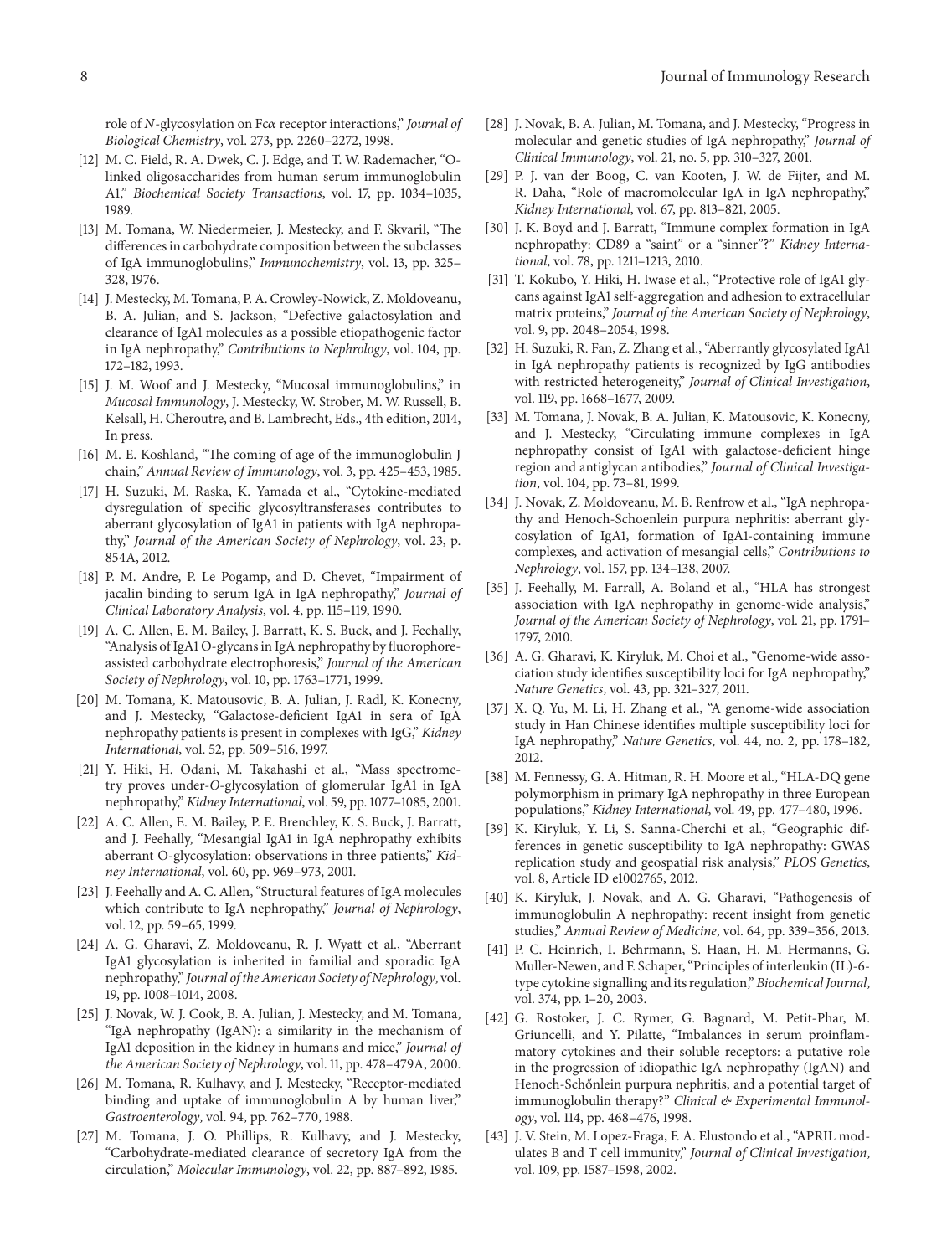role of *N*-glycosylation on Fcα receptor interactions," *Journal of Biological Chemistry*, vol. 273, pp. 2260–2272, 1998.

- [12] M. C. Field, R. A. Dwek, C. J. Edge, and T. W. Rademacher, "Olinked oligosaccharides from human serum immunoglobulin A1," *Biochemical Society Transactions*, vol. 17, pp. 1034–1035, 1989.
- [13] M. Tomana, W. Niedermeier, J. Mestecky, and F. Skvaril, "The differences in carbohydrate composition between the subclasses of IgA immunoglobulins," *Immunochemistry*, vol. 13, pp. 325– 328, 1976.
- [14] J. Mestecky, M. Tomana, P. A. Crowley-Nowick, Z. Moldoveanu, B. A. Julian, and S. Jackson, "Defective galactosylation and clearance of IgA1 molecules as a possible etiopathogenic factor in IgA nephropathy," *Contributions to Nephrology*, vol. 104, pp. 172–182, 1993.
- [15] J. M. Woof and J. Mestecky, "Mucosal immunoglobulins," in *Mucosal Immunology*, J. Mestecky, W. Strober, M. W. Russell, B. Kelsall, H. Cheroutre, and B. Lambrecht, Eds., 4th edition, 2014, In press.
- [16] M. E. Koshland, "The coming of age of the immunoglobulin J chain," *Annual Review of Immunology*, vol. 3, pp. 425–453, 1985.
- [17] H. Suzuki, M. Raska, K. Yamada et al., "Cytokine-mediated dysregulation of specific glycosyltransferases contributes to aberrant glycosylation of IgA1 in patients with IgA nephropathy," *Journal of the American Society of Nephrology*, vol. 23, p. 854A, 2012.
- [18] P. M. Andre, P. Le Pogamp, and D. Chevet, "Impairment of jacalin binding to serum IgA in IgA nephropathy," *Journal of Clinical Laboratory Analysis*, vol. 4, pp. 115–119, 1990.
- [19] A. C. Allen, E. M. Bailey, J. Barratt, K. S. Buck, and J. Feehally, "Analysis of IgA1 O-glycans in IgA nephropathy by fluorophoreassisted carbohydrate electrophoresis," *Journal of the American Society of Nephrology*, vol. 10, pp. 1763–1771, 1999.
- [20] M. Tomana, K. Matousovic, B. A. Julian, J. Radl, K. Konecny, and J. Mestecky, "Galactose-deficient IgA1 in sera of IgA nephropathy patients is present in complexes with IgG," *Kidney International*, vol. 52, pp. 509–516, 1997.
- [21] Y. Hiki, H. Odani, M. Takahashi et al., "Mass spectrometry proves under-*O*-glycosylation of glomerular IgA1 in IgA nephropathy," *Kidney International*, vol. 59, pp. 1077–1085, 2001.
- [22] A. C. Allen, E. M. Bailey, P. E. Brenchley, K. S. Buck, J. Barratt, and J. Feehally, "Mesangial IgA1 in IgA nephropathy exhibits aberrant O-glycosylation: observations in three patients," *Kidney International*, vol. 60, pp. 969–973, 2001.
- [23] J. Feehally and A. C. Allen, "Structural features of IgA molecules which contribute to IgA nephropathy," *Journal of Nephrology*, vol. 12, pp. 59–65, 1999.
- [24] A. G. Gharavi, Z. Moldoveanu, R. J. Wyatt et al., "Aberrant IgA1 glycosylation is inherited in familial and sporadic IgA nephropathy," *Journal of the American Society of Nephrology*, vol. 19, pp. 1008–1014, 2008.
- [25] J. Novak, W. J. Cook, B. A. Julian, J. Mestecky, and M. Tomana, "IgA nephropathy (IgAN): a similarity in the mechanism of IgA1 deposition in the kidney in humans and mice," *Journal of the American Society of Nephrology*, vol. 11, pp. 478–479A, 2000.
- [26] M. Tomana, R. Kulhavy, and J. Mestecky, "Receptor-mediated binding and uptake of immunoglobulin A by human liver," *Gastroenterology*, vol. 94, pp. 762–770, 1988.
- [27] M. Tomana, J. O. Phillips, R. Kulhavy, and J. Mestecky, "Carbohydrate-mediated clearance of secretory IgA from the circulation," *Molecular Immunology*, vol. 22, pp. 887–892, 1985.
- [28] J. Novak, B. A. Julian, M. Tomana, and J. Mestecky, "Progress in molecular and genetic studies of IgA nephropathy," *Journal of Clinical Immunology*, vol. 21, no. 5, pp. 310–327, 2001.
- [29] P. J. van der Boog, C. van Kooten, J. W. de Fijter, and M. R. Daha, "Role of macromolecular IgA in IgA nephropathy," *Kidney International*, vol. 67, pp. 813–821, 2005.
- [30] J. K. Boyd and J. Barratt, "Immune complex formation in IgA nephropathy: CD89 a "saint" or a "sinner"?" *Kidney International*, vol. 78, pp. 1211–1213, 2010.
- [31] T. Kokubo, Y. Hiki, H. Iwase et al., "Protective role of IgA1 glycans against IgA1 self-aggregation and adhesion to extracellular matrix proteins," *Journal of the American Society of Nephrology*, vol. 9, pp. 2048–2054, 1998.
- [32] H. Suzuki, R. Fan, Z. Zhang et al., "Aberrantly glycosylated IgA1 in IgA nephropathy patients is recognized by IgG antibodies with restricted heterogeneity," *Journal of Clinical Investigation*, vol. 119, pp. 1668–1677, 2009.
- [33] M. Tomana, J. Novak, B. A. Julian, K. Matousovic, K. Konecny, and J. Mestecky, "Circulating immune complexes in IgA nephropathy consist of IgA1 with galactose-deficient hinge region and antiglycan antibodies," *Journal of Clinical Investigation*, vol. 104, pp. 73–81, 1999.
- [34] J. Novak, Z. Moldoveanu, M. B. Renfrow et al., "IgA nephropathy and Henoch-Schoenlein purpura nephritis: aberrant glycosylation of IgA1, formation of IgA1-containing immune complexes, and activation of mesangial cells," *Contributions to Nephrology*, vol. 157, pp. 134–138, 2007.
- [35] J. Feehally, M. Farrall, A. Boland et al., "HLA has strongest association with IgA nephropathy in genome-wide analysis," *Journal of the American Society of Nephrology*, vol. 21, pp. 1791– 1797, 2010.
- [36] A. G. Gharavi, K. Kiryluk, M. Choi et al., "Genome-wide association study identifies susceptibility loci for IgA nephropathy," *Nature Genetics*, vol. 43, pp. 321–327, 2011.
- [37] X. Q. Yu, M. Li, H. Zhang et al., "A genome-wide association study in Han Chinese identifies multiple susceptibility loci for IgA nephropathy," *Nature Genetics*, vol. 44, no. 2, pp. 178–182, 2012.
- [38] M. Fennessy, G. A. Hitman, R. H. Moore et al., "HLA-DQ gene polymorphism in primary IgA nephropathy in three European populations," *Kidney International*, vol. 49, pp. 477–480, 1996.
- [39] K. Kiryluk, Y. Li, S. Sanna-Cherchi et al., "Geographic differences in genetic susceptibility to IgA nephropathy: GWAS replication study and geospatial risk analysis," *PLOS Genetics*, vol. 8, Article ID e1002765, 2012.
- [40] K. Kiryluk, J. Novak, and A. G. Gharavi, "Pathogenesis of immunoglobulin A nephropathy: recent insight from genetic studies," *Annual Review of Medicine*, vol. 64, pp. 339–356, 2013.
- [41] P. C. Heinrich, I. Behrmann, S. Haan, H. M. Hermanns, G. Muller-Newen, and F. Schaper, "Principles of interleukin (IL)-6 type cytokine signalling and its regulation," *Biochemical Journal*, vol. 374, pp. 1–20, 2003.
- [42] G. Rostoker, J. C. Rymer, G. Bagnard, M. Petit-Phar, M. Griuncelli, and Y. Pilatte, "Imbalances in serum proinflammatory cytokines and their soluble receptors: a putative role in the progression of idiopathic IgA nephropathy (IgAN) and Henoch-Schőnlein purpura nephritis, and a potential target of immunoglobulin therapy?" *Clinical & Experimental Immunology*, vol. 114, pp. 468–476, 1998.
- [43] J. V. Stein, M. Lopez-Fraga, F. A. Elustondo et al., "APRIL modulates B and T cell immunity," *Journal of Clinical Investigation*, vol. 109, pp. 1587–1598, 2002.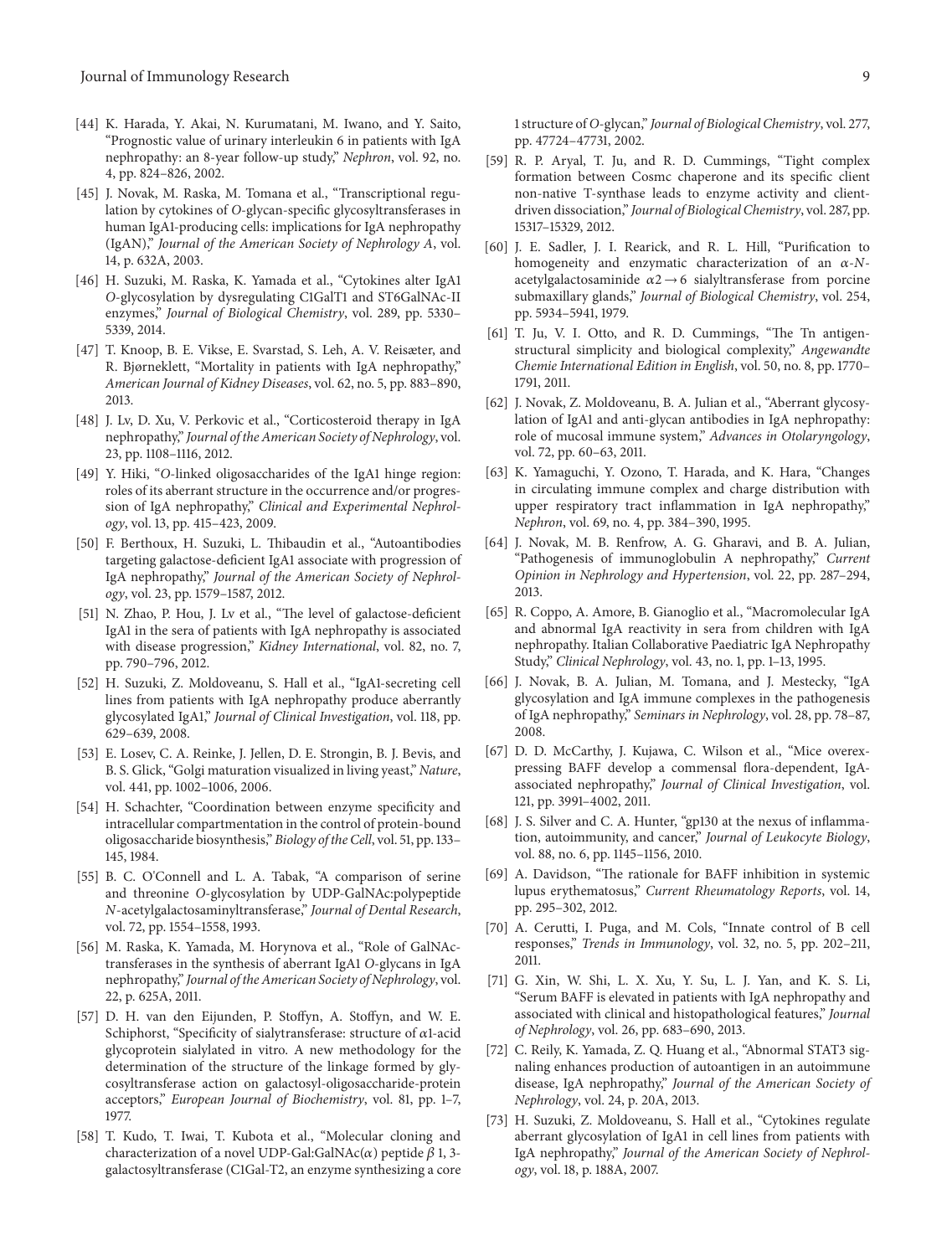- [44] K. Harada, Y. Akai, N. Kurumatani, M. Iwano, and Y. Saito, "Prognostic value of urinary interleukin 6 in patients with IgA nephropathy: an 8-year follow-up study," *Nephron*, vol. 92, no. 4, pp. 824–826, 2002.
- [45] J. Novak, M. Raska, M. Tomana et al., "Transcriptional regulation by cytokines of *O*-glycan-specific glycosyltransferases in human IgA1-producing cells: implications for IgA nephropathy (IgAN)," *Journal of the American Society of Nephrology A*, vol. 14, p. 632A, 2003.
- [46] H. Suzuki, M. Raska, K. Yamada et al., "Cytokines alter IgA1 *O*-glycosylation by dysregulating C1GalT1 and ST6GalNAc-II enzymes," *Journal of Biological Chemistry*, vol. 289, pp. 5330– 5339, 2014.
- [47] T. Knoop, B. E. Vikse, E. Svarstad, S. Leh, A. V. Reisæter, and R. Bjørneklett, "Mortality in patients with IgA nephropathy," *American Journal of Kidney Diseases*, vol. 62, no. 5, pp. 883–890, 2013.
- [48] J. Lv, D. Xu, V. Perkovic et al., "Corticosteroid therapy in IgA nephropathy," *Journal of the American Society of Nephrology*, vol. 23, pp. 1108–1116, 2012.
- [49] Y. Hiki, "*O*-linked oligosaccharides of the IgA1 hinge region: roles of its aberrant structure in the occurrence and/or progression of IgA nephropathy," *Clinical and Experimental Nephrology*, vol. 13, pp. 415–423, 2009.
- [50] F. Berthoux, H. Suzuki, L. Thibaudin et al., "Autoantibodies targeting galactose-deficient IgA1 associate with progression of IgA nephropathy," *Journal of the American Society of Nephrology*, vol. 23, pp. 1579–1587, 2012.
- [51] N. Zhao, P. Hou, J. Lv et al., "The level of galactose-deficient IgA1 in the sera of patients with IgA nephropathy is associated with disease progression," *Kidney International*, vol. 82, no. 7, pp. 790–796, 2012.
- [52] H. Suzuki, Z. Moldoveanu, S. Hall et al., "IgA1-secreting cell lines from patients with IgA nephropathy produce aberrantly glycosylated IgA1," *Journal of Clinical Investigation*, vol. 118, pp. 629–639, 2008.
- [53] E. Losev, C. A. Reinke, J. Jellen, D. E. Strongin, B. J. Bevis, and B. S. Glick, "Golgi maturation visualized in living yeast," *Nature*, vol. 441, pp. 1002–1006, 2006.
- [54] H. Schachter, "Coordination between enzyme specificity and intracellular compartmentation in the control of protein-bound oligosaccharide biosynthesis," *Biology of the Cell*, vol. 51, pp. 133– 145, 1984.
- [55] B. C. O'Connell and L. A. Tabak, "A comparison of serine and threonine *O*-glycosylation by UDP-GalNAc:polypeptide *N*-acetylgalactosaminyltransferase," *Journal of Dental Research*, vol. 72, pp. 1554–1558, 1993.
- [56] M. Raska, K. Yamada, M. Horynova et al., "Role of GalNActransferases in the synthesis of aberrant IgA1 *O*-glycans in IgA nephropathy," *Journal of the American Society of Nephrology*, vol. 22, p. 625A, 2011.
- [57] D. H. van den Eijunden, P. Stoffyn, A. Stoffyn, and W. E. Schiphorst, "Specificity of sialytransferase: structure of  $\alpha$ 1-acid glycoprotein sialylated in vitro. A new methodology for the determination of the structure of the linkage formed by glycosyltransferase action on galactosyl-oligosaccharide-protein acceptors," *European Journal of Biochemistry*, vol. 81, pp. 1–7, 1977.
- [58] T. Kudo, T. Iwai, T. Kubota et al., "Molecular cloning and characterization of a novel UDP-Gal:GalNAc( $\alpha$ ) peptide  $\beta$  1, 3galactosyltransferase (C1Gal-T2, an enzyme synthesizing a core
- [59] R. P. Aryal, T. Ju, and R. D. Cummings, "Tight complex formation between Cosmc chaperone and its specific client non-native T-synthase leads to enzyme activity and clientdriven dissociation," *Journal of Biological Chemistry*, vol. 287, pp. 15317–15329, 2012.
- [60] J. E. Sadler, J. I. Rearick, and R. L. Hill, "Purification to homogeneity and enzymatic characterization of an  $\alpha$ -*N*acetylgalactosaminide  $\alpha$ 2 → 6 sialyltransferase from porcine submaxillary glands," *Journal of Biological Chemistry*, vol. 254, pp. 5934–5941, 1979.
- [61] T. Ju, V. I. Otto, and R. D. Cummings, "The Tn antigenstructural simplicity and biological complexity," *Angewandte Chemie International Edition in English*, vol. 50, no. 8, pp. 1770– 1791, 2011.
- [62] J. Novak, Z. Moldoveanu, B. A. Julian et al., "Aberrant glycosylation of IgA1 and anti-glycan antibodies in IgA nephropathy: role of mucosal immune system," *Advances in Otolaryngology*, vol. 72, pp. 60–63, 2011.
- [63] K. Yamaguchi, Y. Ozono, T. Harada, and K. Hara, "Changes in circulating immune complex and charge distribution with upper respiratory tract inflammation in IgA nephropathy," *Nephron*, vol. 69, no. 4, pp. 384–390, 1995.
- [64] J. Novak, M. B. Renfrow, A. G. Gharavi, and B. A. Julian, "Pathogenesis of immunoglobulin A nephropathy," *Current Opinion in Nephrology and Hypertension*, vol. 22, pp. 287–294, 2013.
- [65] R. Coppo, A. Amore, B. Gianoglio et al., "Macromolecular IgA and abnormal IgA reactivity in sera from children with IgA nephropathy. Italian Collaborative Paediatric IgA Nephropathy Study," *Clinical Nephrology*, vol. 43, no. 1, pp. 1–13, 1995.
- [66] J. Novak, B. A. Julian, M. Tomana, and J. Mestecky, "IgA glycosylation and IgA immune complexes in the pathogenesis of IgA nephropathy," *Seminars in Nephrology*, vol. 28, pp. 78–87, 2008.
- [67] D. D. McCarthy, J. Kujawa, C. Wilson et al., "Mice overexpressing BAFF develop a commensal flora-dependent, IgAassociated nephropathy," *Journal of Clinical Investigation*, vol. 121, pp. 3991–4002, 2011.
- [68] J. S. Silver and C. A. Hunter, "gp130 at the nexus of inflammation, autoimmunity, and cancer," *Journal of Leukocyte Biology*, vol. 88, no. 6, pp. 1145–1156, 2010.
- [69] A. Davidson, "The rationale for BAFF inhibition in systemic lupus erythematosus," *Current Rheumatology Reports*, vol. 14, pp. 295–302, 2012.
- [70] A. Cerutti, I. Puga, and M. Cols, "Innate control of B cell responses," *Trends in Immunology*, vol. 32, no. 5, pp. 202–211, 2011.
- [71] G. Xin, W. Shi, L. X. Xu, Y. Su, L. J. Yan, and K. S. Li, "Serum BAFF is elevated in patients with IgA nephropathy and associated with clinical and histopathological features," *Journal of Nephrology*, vol. 26, pp. 683–690, 2013.
- [72] C. Reily, K. Yamada, Z. Q. Huang et al., "Abnormal STAT3 signaling enhances production of autoantigen in an autoimmune disease, IgA nephropathy," *Journal of the American Society of Nephrology*, vol. 24, p. 20A, 2013.
- [73] H. Suzuki, Z. Moldoveanu, S. Hall et al., "Cytokines regulate aberrant glycosylation of IgA1 in cell lines from patients with IgA nephropathy," *Journal of the American Society of Nephrology*, vol. 18, p. 188A, 2007.